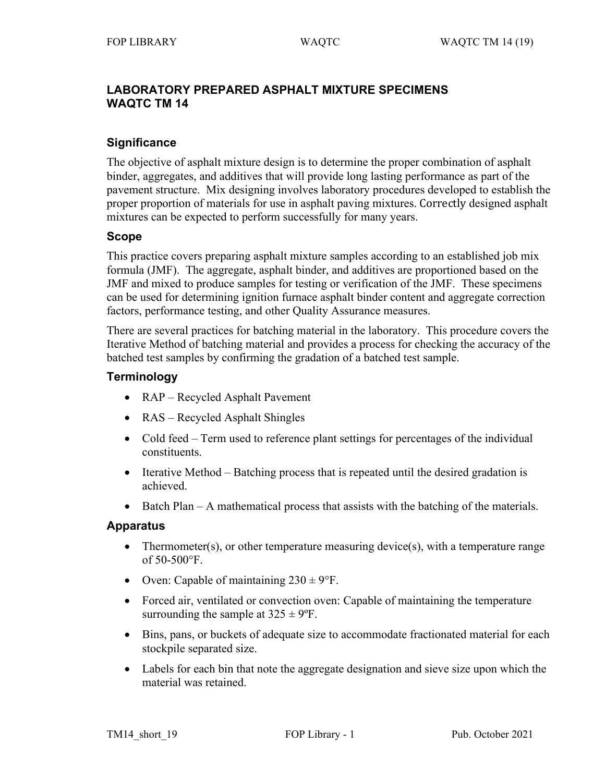# **LABORATORY PREPARED ASPHALT MIXTURE SPECIMENS WAQTC TM 14**

## **Significance**

The objective of asphalt mixture design is to determine the proper combination of asphalt binder, aggregates, and additives that will provide long lasting performance as part of the pavement structure. Mix designing involves laboratory procedures developed to establish the proper proportion of materials for use in asphalt paving mixtures. Correctly designed asphalt mixtures can be expected to perform successfully for many years.

## **Scope**

This practice covers preparing asphalt mixture samples according to an established job mix formula (JMF). The aggregate, asphalt binder, and additives are proportioned based on the JMF and mixed to produce samples for testing or verification of the JMF. These specimens can be used for determining ignition furnace asphalt binder content and aggregate correction factors, performance testing, and other Quality Assurance measures.

There are several practices for batching material in the laboratory. This procedure covers the Iterative Method of batching material and provides a process for checking the accuracy of the batched test samples by confirming the gradation of a batched test sample.

## **Terminology**

- RAP Recycled Asphalt Pavement
- RAS Recycled Asphalt Shingles
- Cold feed Term used to reference plant settings for percentages of the individual constituents.
- Iterative Method Batching process that is repeated until the desired gradation is achieved.
- Batch Plan A mathematical process that assists with the batching of the materials.

### **Apparatus**

- Thermometer(s), or other temperature measuring device(s), with a temperature range of 50-500°F.
- Oven: Capable of maintaining  $230 \pm 9$ °F.
- Forced air, ventilated or convection oven: Capable of maintaining the temperature surrounding the sample at  $325 \pm 9$ °F.
- Bins, pans, or buckets of adequate size to accommodate fractionated material for each stockpile separated size.
- Labels for each bin that note the aggregate designation and sieve size upon which the material was retained.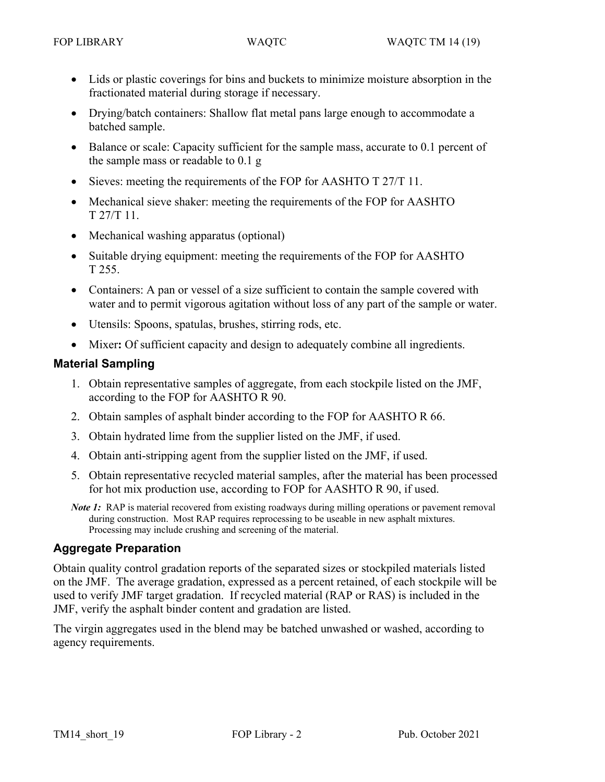- Lids or plastic coverings for bins and buckets to minimize moisture absorption in the fractionated material during storage if necessary.
- Drying/batch containers: Shallow flat metal pans large enough to accommodate a batched sample.
- Balance or scale: Capacity sufficient for the sample mass, accurate to 0.1 percent of the sample mass or readable to 0.1 g
- Sieves: meeting the requirements of the FOP for AASHTO T 27/T 11.
- Mechanical sieve shaker: meeting the requirements of the FOP for AASHTO T 27/T 11.
- Mechanical washing apparatus (optional)
- Suitable drying equipment: meeting the requirements of the FOP for AASHTO T 255.
- Containers: A pan or vessel of a size sufficient to contain the sample covered with water and to permit vigorous agitation without loss of any part of the sample or water.
- Utensils: Spoons, spatulas, brushes, stirring rods, etc.
- Mixer**:** Of sufficient capacity and design to adequately combine all ingredients.

## **Material Sampling**

- 1. Obtain representative samples of aggregate, from each stockpile listed on the JMF, according to the FOP for AASHTO R 90.
- 2. Obtain samples of asphalt binder according to the FOP for AASHTO R 66.
- 3. Obtain hydrated lime from the supplier listed on the JMF, if used.
- 4. Obtain anti-stripping agent from the supplier listed on the JMF, if used.
- 5. Obtain representative recycled material samples, after the material has been processed for hot mix production use, according to FOP for AASHTO R 90, if used.
- *Note* 1: RAP is material recovered from existing roadways during milling operations or pavement removal during construction. Most RAP requires reprocessing to be useable in new asphalt mixtures. Processing may include crushing and screening of the material.

# **Aggregate Preparation**

Obtain quality control gradation reports of the separated sizes or stockpiled materials listed on the JMF. The average gradation, expressed as a percent retained, of each stockpile will be used to verify JMF target gradation. If recycled material (RAP or RAS) is included in the JMF, verify the asphalt binder content and gradation are listed.

The virgin aggregates used in the blend may be batched unwashed or washed, according to agency requirements.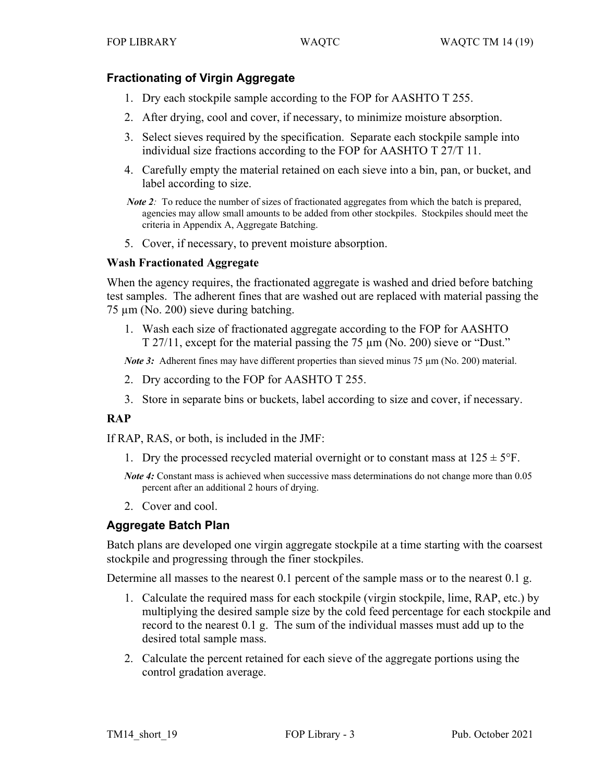# **Fractionating of Virgin Aggregate**

- 1. Dry each stockpile sample according to the FOP for AASHTO T 255.
- 2. After drying, cool and cover, if necessary, to minimize moisture absorption.
- 3. Select sieves required by the specification. Separate each stockpile sample into individual size fractions according to the FOP for AASHTO T 27/T 11.
- 4. Carefully empty the material retained on each sieve into a bin, pan, or bucket, and label according to size.

5. Cover, if necessary, to prevent moisture absorption.

### **Wash Fractionated Aggregate**

When the agency requires, the fractionated aggregate is washed and dried before batching test samples. The adherent fines that are washed out are replaced with material passing the 75 µm (No. 200) sieve during batching.

1. Wash each size of fractionated aggregate according to the FOP for AASHTO T 27/11, except for the material passing the 75 µm (No. 200) sieve or "Dust."

*Note 3:* Adherent fines may have different properties than sieved minus 75  $\mu$ m (No. 200) material.

- 2. Dry according to the FOP for AASHTO T 255.
- 3. Store in separate bins or buckets, label according to size and cover, if necessary.

# **RAP**

If RAP, RAS, or both, is included in the JMF:

1. Dry the processed recycled material overnight or to constant mass at  $125 \pm 5$ °F.

*Note* 4: Constant mass is achieved when successive mass determinations do not change more than 0.05 percent after an additional 2 hours of drying.

2. Cover and cool.

# **Aggregate Batch Plan**

Batch plans are developed one virgin aggregate stockpile at a time starting with the coarsest stockpile and progressing through the finer stockpiles.

Determine all masses to the nearest 0.1 percent of the sample mass or to the nearest 0.1 g.

- 1. Calculate the required mass for each stockpile (virgin stockpile, lime, RAP, etc.) by multiplying the desired sample size by the cold feed percentage for each stockpile and record to the nearest 0.1 g. The sum of the individual masses must add up to the desired total sample mass.
- 2. Calculate the percent retained for each sieve of the aggregate portions using the control gradation average.

*Note* 2: To reduce the number of sizes of fractionated aggregates from which the batch is prepared, agencies may allow small amounts to be added from other stockpiles. Stockpiles should meet the criteria in Appendix A, Aggregate Batching.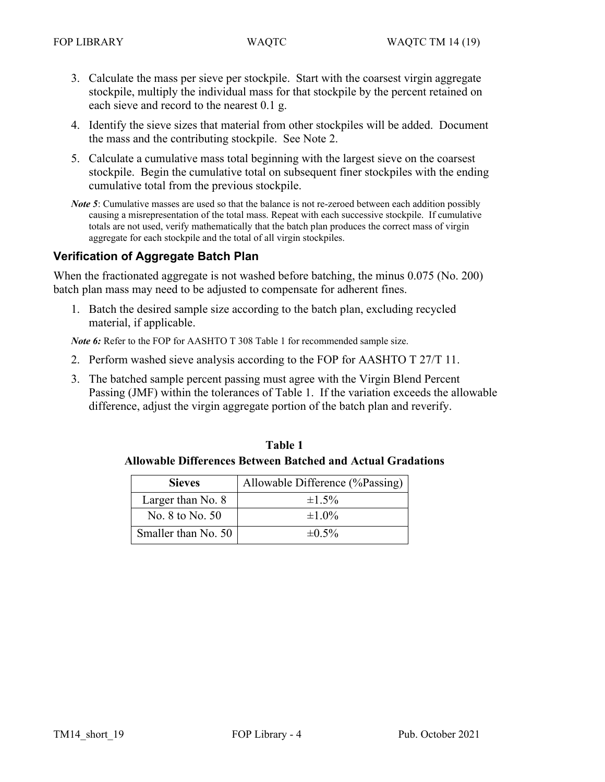- 3. Calculate the mass per sieve per stockpile. Start with the coarsest virgin aggregate stockpile, multiply the individual mass for that stockpile by the percent retained on each sieve and record to the nearest 0.1 g.
- 4. Identify the sieve sizes that material from other stockpiles will be added. Document the mass and the contributing stockpile. See Note 2.
- 5. Calculate a cumulative mass total beginning with the largest sieve on the coarsest stockpile. Begin the cumulative total on subsequent finer stockpiles with the ending cumulative total from the previous stockpile.

*Note 5*: Cumulative masses are used so that the balance is not re-zeroed between each addition possibly causing a misrepresentation of the total mass. Repeat with each successive stockpile. If cumulative totals are not used, verify mathematically that the batch plan produces the correct mass of virgin aggregate for each stockpile and the total of all virgin stockpiles.

# **Verification of Aggregate Batch Plan**

When the fractionated aggregate is not washed before batching, the minus 0.075 (No. 200) batch plan mass may need to be adjusted to compensate for adherent fines.

1. Batch the desired sample size according to the batch plan, excluding recycled material, if applicable.

*Note 6:* Refer to the FOP for AASHTO T 308 Table 1 for recommended sample size.

- 2. Perform washed sieve analysis according to the FOP for AASHTO T 27/T 11.
- 3. The batched sample percent passing must agree with the Virgin Blend Percent Passing (JMF) within the tolerances of Table 1. If the variation exceeds the allowable difference, adjust the virgin aggregate portion of the batch plan and reverify.

**Table 1 Allowable Differences Between Batched and Actual Gradations**

| <b>Sieves</b>       | Allowable Difference (%Passing) |
|---------------------|---------------------------------|
| Larger than No. 8   | $\pm 1.5\%$                     |
| No. 8 to No. 50     | $\pm 1.0\%$                     |
| Smaller than No. 50 | $\pm 0.5\%$                     |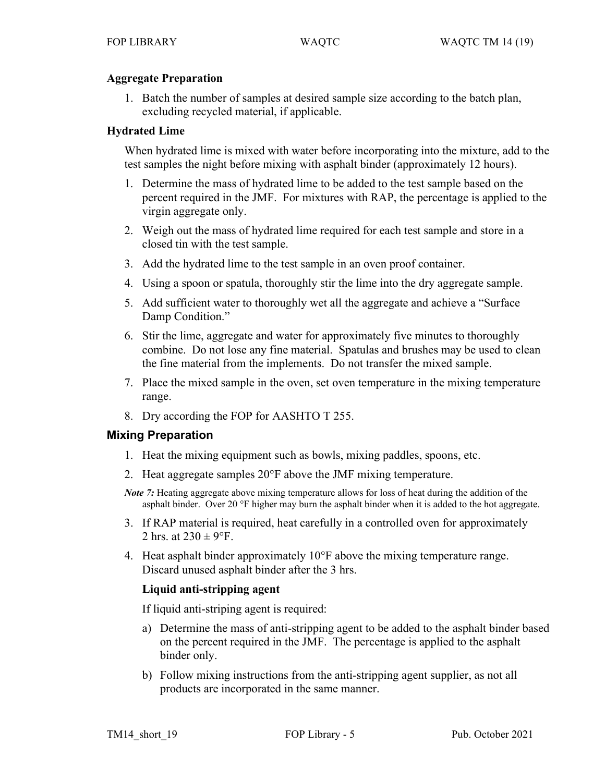### **Aggregate Preparation**

1. Batch the number of samples at desired sample size according to the batch plan, excluding recycled material, if applicable.

## **Hydrated Lime**

When hydrated lime is mixed with water before incorporating into the mixture, add to the test samples the night before mixing with asphalt binder (approximately 12 hours).

- 1. Determine the mass of hydrated lime to be added to the test sample based on the percent required in the JMF. For mixtures with RAP, the percentage is applied to the virgin aggregate only.
- 2. Weigh out the mass of hydrated lime required for each test sample and store in a closed tin with the test sample.
- 3. Add the hydrated lime to the test sample in an oven proof container.
- 4. Using a spoon or spatula, thoroughly stir the lime into the dry aggregate sample.
- 5. Add sufficient water to thoroughly wet all the aggregate and achieve a "Surface Damp Condition."
- 6. Stir the lime, aggregate and water for approximately five minutes to thoroughly combine. Do not lose any fine material. Spatulas and brushes may be used to clean the fine material from the implements. Do not transfer the mixed sample.
- 7. Place the mixed sample in the oven, set oven temperature in the mixing temperature range.
- 8. Dry according the FOP for AASHTO T 255.

# **Mixing Preparation**

- 1. Heat the mixing equipment such as bowls, mixing paddles, spoons, etc.
- 2. Heat aggregate samples 20°F above the JMF mixing temperature.
- *Note 7*: Heating aggregate above mixing temperature allows for loss of heat during the addition of the asphalt binder. Over 20 °F higher may burn the asphalt binder when it is added to the hot aggregate.
- 3. If RAP material is required, heat carefully in a controlled oven for approximately 2 hrs. at  $230 \pm 9$ °F.
- 4. Heat asphalt binder approximately 10°F above the mixing temperature range. Discard unused asphalt binder after the 3 hrs.

# **Liquid anti-stripping agent**

If liquid anti-striping agent is required:

- a) Determine the mass of anti-stripping agent to be added to the asphalt binder based on the percent required in the JMF. The percentage is applied to the asphalt binder only.
- b) Follow mixing instructions from the anti-stripping agent supplier, as not all products are incorporated in the same manner.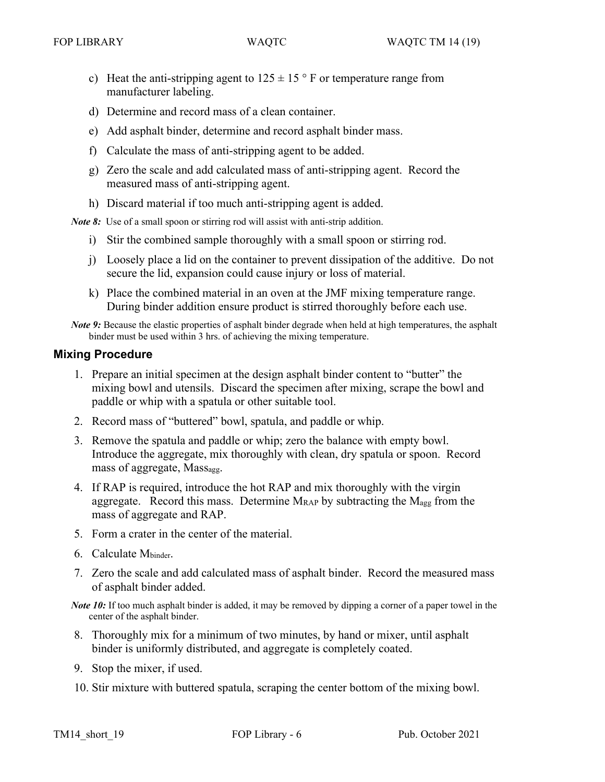- c) Heat the anti-stripping agent to  $125 \pm 15$  ° F or temperature range from manufacturer labeling.
- d) Determine and record mass of a clean container.
- e) Add asphalt binder, determine and record asphalt binder mass.
- f) Calculate the mass of anti-stripping agent to be added.
- g) Zero the scale and add calculated mass of anti-stripping agent. Record the measured mass of anti-stripping agent.
- h) Discard material if too much anti-stripping agent is added.

*Note 8:* Use of a small spoon or stirring rod will assist with anti-strip addition.

- i) Stir the combined sample thoroughly with a small spoon or stirring rod.
- j) Loosely place a lid on the container to prevent dissipation of the additive. Do not secure the lid, expansion could cause injury or loss of material.
- k) Place the combined material in an oven at the JMF mixing temperature range. During binder addition ensure product is stirred thoroughly before each use.

*Note 9:* Because the elastic properties of asphalt binder degrade when held at high temperatures, the asphalt binder must be used within 3 hrs. of achieving the mixing temperature.

#### **Mixing Procedure**

- 1. Prepare an initial specimen at the design asphalt binder content to "butter" the mixing bowl and utensils. Discard the specimen after mixing, scrape the bowl and paddle or whip with a spatula or other suitable tool.
- 2. Record mass of "buttered" bowl, spatula, and paddle or whip.
- 3. Remove the spatula and paddle or whip; zero the balance with empty bowl. Introduce the aggregate, mix thoroughly with clean, dry spatula or spoon. Record mass of aggregate, Massagg.
- 4. If RAP is required, introduce the hot RAP and mix thoroughly with the virgin aggregate. Record this mass. Determine  $M_{RAP}$  by subtracting the  $M_{\text{agg}}$  from the mass of aggregate and RAP.
- 5. Form a crater in the center of the material.
- 6. Calculate Mbinder.
- 7. Zero the scale and add calculated mass of asphalt binder. Record the measured mass of asphalt binder added.

*Note* 10: If too much asphalt binder is added, it may be removed by dipping a corner of a paper towel in the center of the asphalt binder.

- 8. Thoroughly mix for a minimum of two minutes, by hand or mixer, until asphalt binder is uniformly distributed, and aggregate is completely coated.
- 9. Stop the mixer, if used.
- 10. Stir mixture with buttered spatula, scraping the center bottom of the mixing bowl.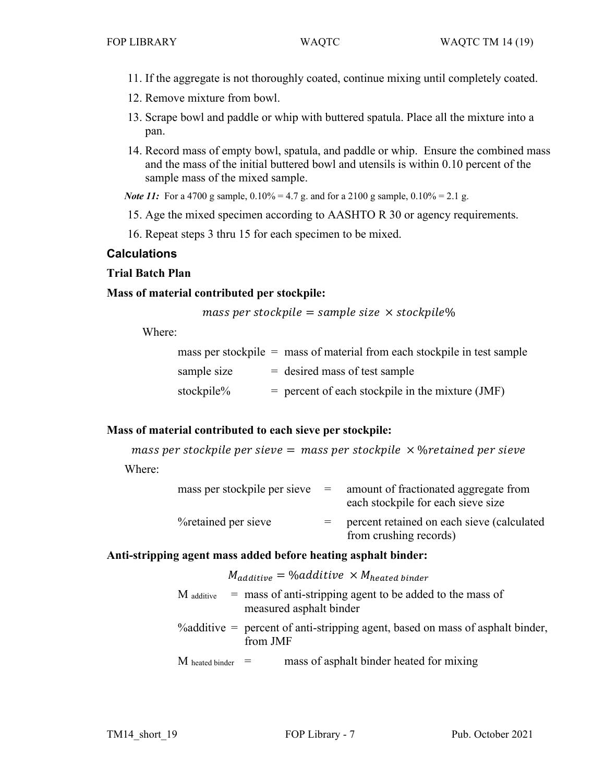- 11. If the aggregate is not thoroughly coated, continue mixing until completely coated.
- 12. Remove mixture from bowl.
- 13. Scrape bowl and paddle or whip with buttered spatula. Place all the mixture into a pan.
- 14. Record mass of empty bowl, spatula, and paddle or whip. Ensure the combined mass and the mass of the initial buttered bowl and utensils is within 0.10 percent of the sample mass of the mixed sample.

*Note 11*: For a 4700 g sample,  $0.10\% = 4.7$  g. and for a 2100 g sample,  $0.10\% = 2.1$  g.

- 15. Age the mixed specimen according to AASHTO R 30 or agency requirements.
- 16. Repeat steps 3 thru 15 for each specimen to be mixed.

# **Calculations**

# **Trial Batch Plan**

## **Mass of material contributed per stockpile:**

mass per stockpile = sample size  $\times$  stockpile%

Where:

|             | mass per stockpile $=$ mass of material from each stockpile in test sample |
|-------------|----------------------------------------------------------------------------|
| sample size | $=$ desired mass of test sample                                            |
| stockpile%  | $=$ percent of each stockpile in the mixture (JMF)                         |

# **Mass of material contributed to each sieve per stockpile:**

mass per stockpile per sieve = mass per stockpile  $\times$  % retained per sieve

Where:

| mass per stockpile per sieve | $=$ | amount of fractionated aggregate from<br>each stockpile for each sieve size |
|------------------------------|-----|-----------------------------------------------------------------------------|
| <i>V</i> oretained per sieve |     | percent retained on each sieve (calculated<br>from crushing records)        |

### **Anti-stripping agent mass added before heating asphalt binder:**

|                         | $M_{additive} = \text{\%additive} \times M_{heated\,binder}$                                 |
|-------------------------|----------------------------------------------------------------------------------------------|
| $\rm M$ additive        | $=$ mass of anti-stripping agent to be added to the mass of<br>measured asphalt binder       |
|                         | % additive $=$ percent of anti-stripping agent, based on mass of asphalt binder,<br>from JMF |
| $M$ heated binder $\Xi$ | mass of asphalt binder heated for mixing                                                     |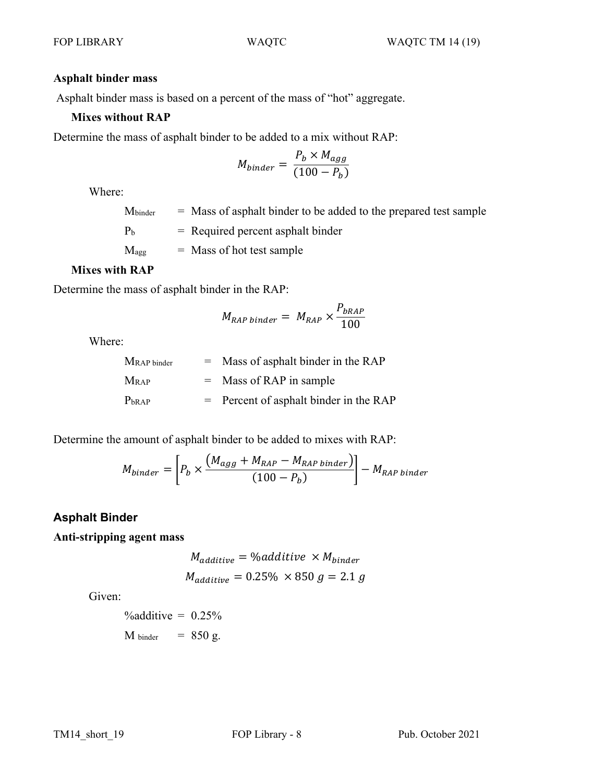#### **Asphalt binder mass**

Asphalt binder mass is based on a percent of the mass of "hot" aggregate.

### **Mixes without RAP**

Determine the mass of asphalt binder to be added to a mix without RAP:

$$
M_{binder} = \frac{P_b \times M_{agg}}{(100 - P_b)}
$$

Where:

 $M<sub>binder</sub>$  = Mass of asphalt binder to be added to the prepared test sample  $P_b$  = Required percent asphalt binder  $M_{\text{agg}}$  = Mass of hot test sample

### **Mixes with RAP**

Determine the mass of asphalt binder in the RAP:

$$
M_{RAP\,binder} = M_{RAP} \times \frac{P_{bRAP}}{100}
$$

Where:

 $M_{RAP \, \text{binder}}$  = Mass of asphalt binder in the RAP  $M_{RAP}$  = Mass of RAP in sample  $P<sub>bRAP</sub>$  = Percent of asphalt binder in the RAP

Determine the amount of asphalt binder to be added to mixes with RAP:

$$
M_{binder} = \left[ P_b \times \frac{(M_{agg} + M_{RAP} - M_{RAP\,binder})}{(100 - P_b)} \right] - M_{RAP\,binder}
$$

# **Asphalt Binder**

## **Anti-stripping agent mass**

$$
M_{additive} = \text{\%additive} \times M_{binder}
$$
  

$$
M_{additive} = 0.25\% \times 850 g = 2.1 g
$$

Given:

 $\%$ additive =  $0.25\%$  $M_{\text{binder}}$  = 850 g.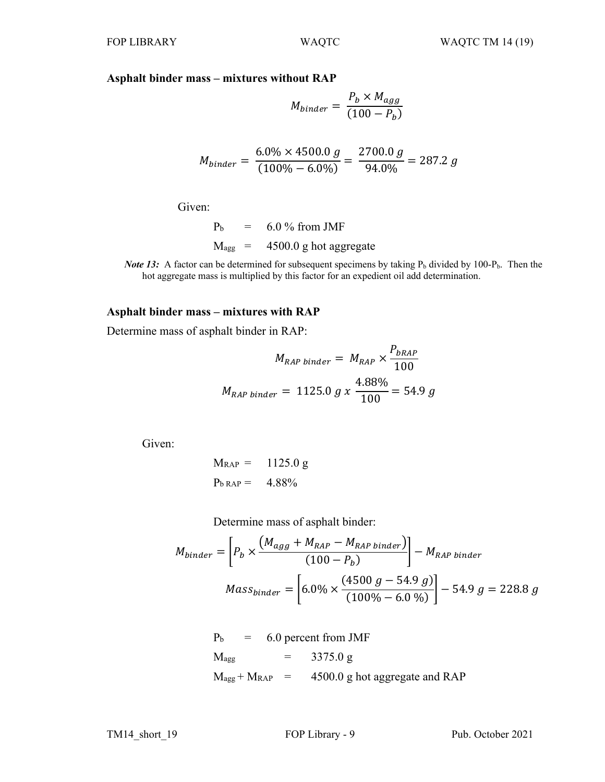# **Asphalt binder mass – mixtures without RAP**

$$
M_{binder} = \frac{P_b \times M_{agg}}{(100 - P_b)}
$$

$$
M_{binder} = \frac{6.0\% \times 4500.0 \ g}{(100\% - 6.0\%)} = \frac{2700.0 \ g}{94.0\%} = 287.2 \ g
$$

Given:

 $P_b = 6.0 \%$  from JMF  $M_{agg}$  = 4500.0 g hot aggregate

*Note* 13: A factor can be determined for subsequent specimens by taking  $P_b$  divided by 100- $P_b$ . Then the hot aggregate mass is multiplied by this factor for an expedient oil add determination.

#### **Asphalt binder mass – mixtures with RAP**

Determine mass of asphalt binder in RAP:

$$
M_{RAP\,binder} = M_{RAP} \times \frac{P_{bRAP}}{100}
$$
  

$$
M_{RAP\,binder} = 1125.0 \, g \, x \, \frac{4.88\%}{100} = 54.9 \, g
$$

Given:

$$
M_{\text{RAP}} = 1125.0 \text{ g}
$$
  

$$
P_{\text{b RAP}} = 4.88\%
$$

Determine mass of asphalt binder:

$$
M_{binder} = \left[ P_b \times \frac{\left( M_{agg} + M_{RAP} - M_{RAP\,binder} \right)}{(100 - P_b)} \right] - M_{RAP\,binder}
$$

$$
Mass_{binder} = \left[ 6.0\% \times \frac{(4500 \, g - 54.9 \, g)}{(100\% - 6.0 \, \%)} \right] - 54.9 \, g = 228.8 \, g
$$

$$
P_b = 6.0 \text{ percent from JMF}
$$
  

$$
M_{agg} = 3375.0 \text{ g}
$$
  

$$
M_{agg} + M_{RAP} = 4500.0 \text{ g hot aggregate and RAP}
$$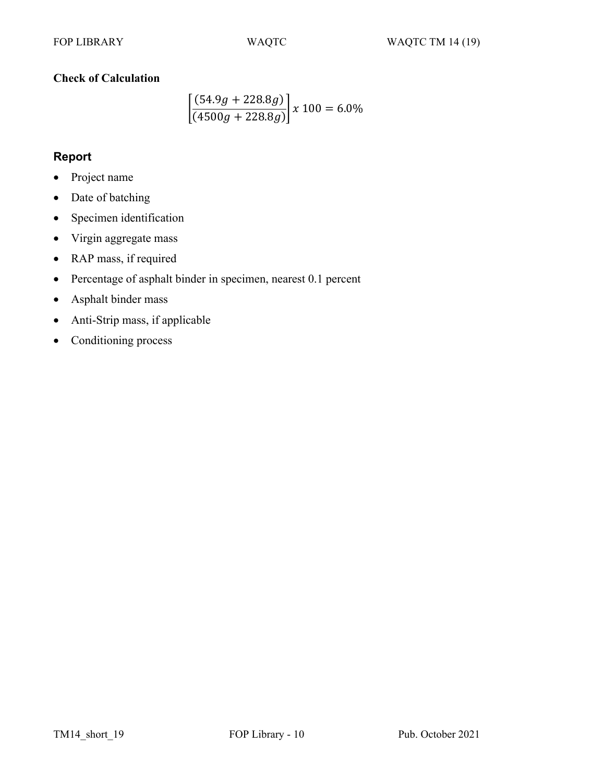# **Check of Calculation**

$$
\left[\frac{(54.9g + 228.8g)}{(4500g + 228.8g)}\right] x 100 = 6.0\%
$$

# **Report**

- Project name
- Date of batching
- Specimen identification
- Virgin aggregate mass
- RAP mass, if required
- Percentage of asphalt binder in specimen, nearest 0.1 percent
- Asphalt binder mass
- Anti-Strip mass, if applicable
- Conditioning process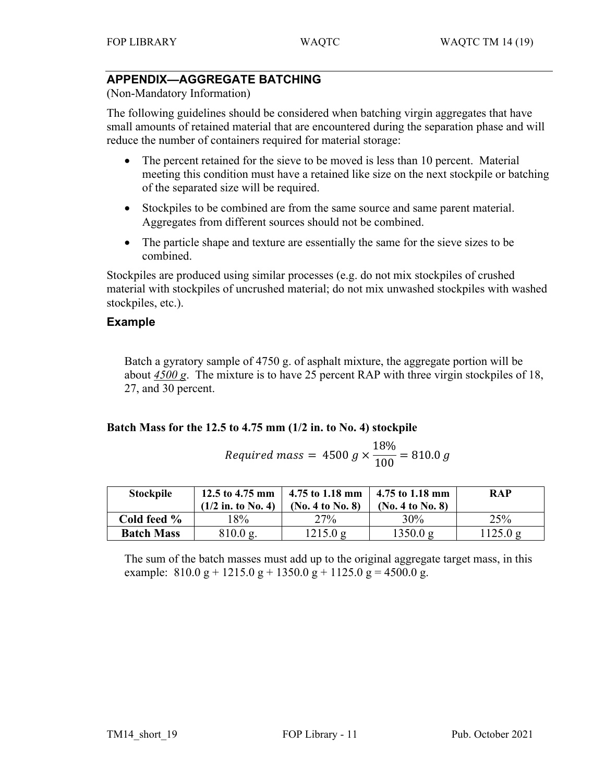# **APPENDIX—AGGREGATE BATCHING**

(Non-Mandatory Information)

The following guidelines should be considered when batching virgin aggregates that have small amounts of retained material that are encountered during the separation phase and will reduce the number of containers required for material storage:

- The percent retained for the sieve to be moved is less than 10 percent. Material meeting this condition must have a retained like size on the next stockpile or batching of the separated size will be required.
- Stockpiles to be combined are from the same source and same parent material. Aggregates from different sources should not be combined.
- The particle shape and texture are essentially the same for the sieve sizes to be combined.

Stockpiles are produced using similar processes (e.g. do not mix stockpiles of crushed material with stockpiles of uncrushed material; do not mix unwashed stockpiles with washed stockpiles, etc.).

# **Example**

Batch a gyratory sample of 4750 g. of asphalt mixture, the aggregate portion will be about *4500 g*. The mixture is to have 25 percent RAP with three virgin stockpiles of 18, 27, and 30 percent.

### **Batch Mass for the 12.5 to 4.75 mm (1/2 in. to No. 4) stockpile**

Required mass = 
$$
4500 \, g \times \frac{18\%}{100} = 810.0 \, g
$$

| <b>Stockpile</b>  | 12.5 to 4.75 mm<br>$(1/2$ in. to No. 4) | 4.75 to 1.18 mm<br>(No. 4 to No. 8) | 4.75 to 1.18 mm<br>(No. 4 to No. 8) | <b>RAP</b> |
|-------------------|-----------------------------------------|-------------------------------------|-------------------------------------|------------|
| Cold feed %       | 8%                                      | 27%                                 | $30\%$                              | 25%        |
| <b>Batch Mass</b> | $810.0 \text{ g.}$                      | 1215.0 g                            | 1350.0 g                            | 1125.0 g   |

The sum of the batch masses must add up to the original aggregate target mass, in this example:  $810.0 \text{ g} + 1215.0 \text{ g} + 1350.0 \text{ g} + 1125.0 \text{ g} = 4500.0 \text{ g}$ .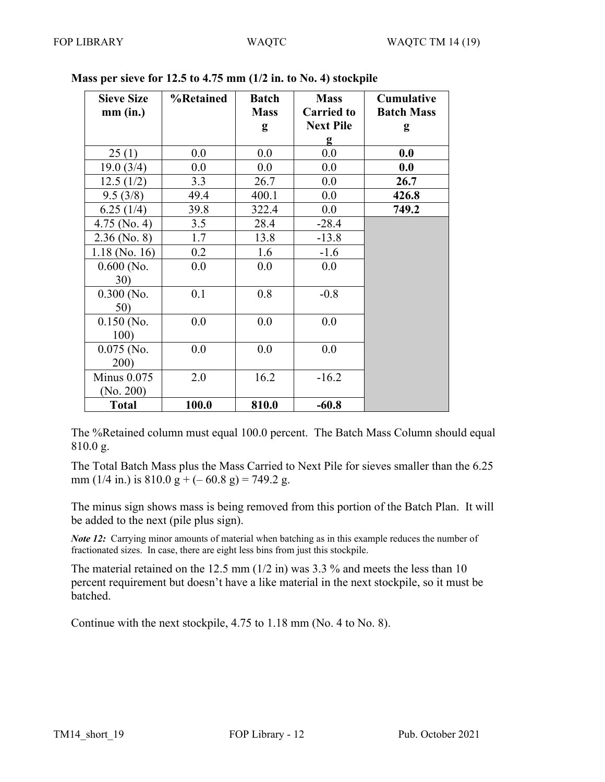| <b>Sieve Size</b>  | %Retained | <b>Batch</b> | <b>Mass</b>       | <b>Cumulative</b> |
|--------------------|-----------|--------------|-------------------|-------------------|
| $mm$ (in.)         |           | <b>Mass</b>  | <b>Carried to</b> | <b>Batch Mass</b> |
|                    |           | g            | <b>Next Pile</b>  | g                 |
|                    |           |              | g                 |                   |
| 25(1)              | 0.0       | 0.0          | 0.0               | 0.0               |
| 19.0(3/4)          | $0.0\,$   | $0.0\,$      | 0.0               | 0.0               |
| 12.5(1/2)          | 3.3       | 26.7         | 0.0               | 26.7              |
| 9.5(3/8)           | 49.4      | 400.1        | 0.0               | 426.8             |
| 6.25(1/4)          | 39.8      | 322.4        | 0.0               | 749.2             |
| $4.75$ (No. 4)     | 3.5       | 28.4         | $-28.4$           |                   |
| $2.36$ (No. 8)     | 1.7       | 13.8         | $-13.8$           |                   |
| $1.18$ (No. 16)    | 0.2       | 1.6          | $-1.6$            |                   |
| $0.600$ (No.       | 0.0       | 0.0          | 0.0               |                   |
| <b>30</b> )        |           |              |                   |                   |
| $0.300$ (No.       | 0.1       | 0.8          | $-0.8$            |                   |
| 50)                |           |              |                   |                   |
| $0.150$ (No.       | 0.0       | 0.0          | 0.0               |                   |
| 100)               |           |              |                   |                   |
| $0.075$ (No.       | 0.0       | 0.0          | 0.0               |                   |
| 200)               |           |              |                   |                   |
| <b>Minus 0.075</b> | 2.0       | 16.2         | $-16.2$           |                   |
| (No. 200)          |           |              |                   |                   |
| <b>Total</b>       | 100.0     | 810.0        | $-60.8$           |                   |

## **Mass per sieve for 12.5 to 4.75 mm (1/2 in. to No. 4) stockpile**

The %Retained column must equal 100.0 percent. The Batch Mass Column should equal 810.0 g.

The Total Batch Mass plus the Mass Carried to Next Pile for sieves smaller than the 6.25 mm (1/4 in.) is  $810.0 \text{ g} + (-60.8 \text{ g}) = 749.2 \text{ g}$ .

The minus sign shows mass is being removed from this portion of the Batch Plan. It will be added to the next (pile plus sign).

*Note* 12: Carrying minor amounts of material when batching as in this example reduces the number of fractionated sizes. In case, there are eight less bins from just this stockpile.

The material retained on the 12.5 mm (1/2 in) was 3.3 % and meets the less than 10 percent requirement but doesn't have a like material in the next stockpile, so it must be batched.

Continue with the next stockpile, 4.75 to 1.18 mm (No. 4 to No. 8).